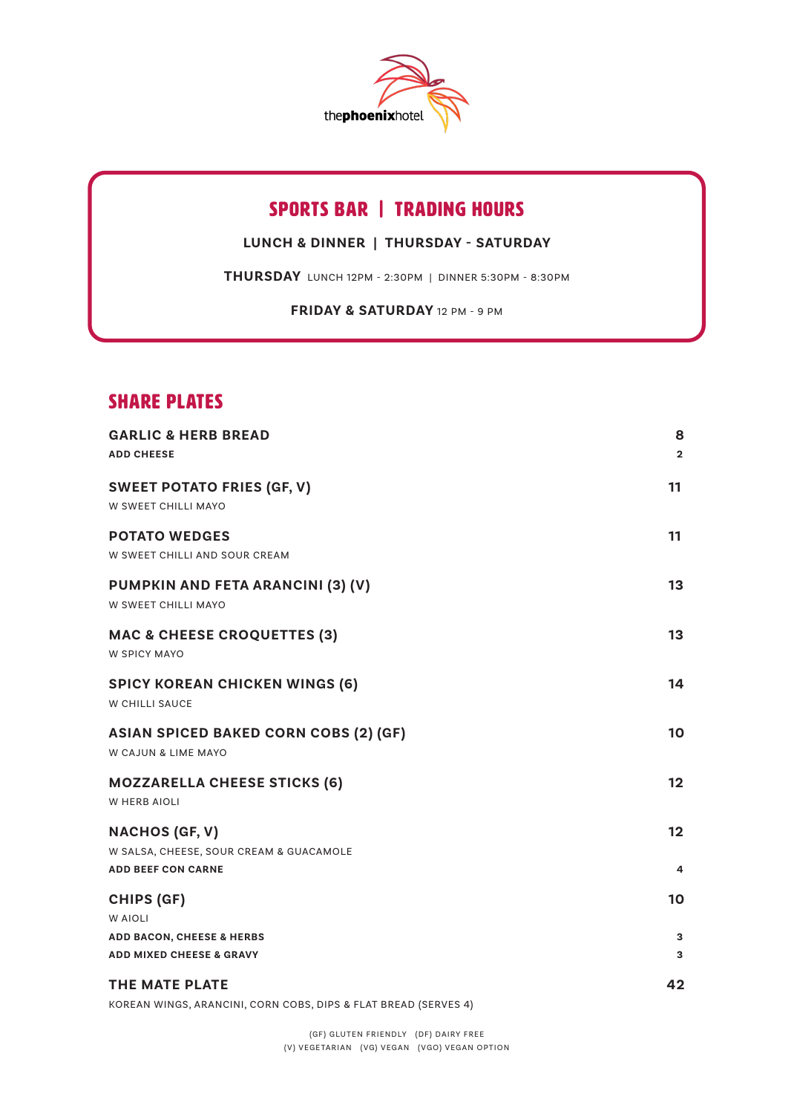

# sports bar | trading hours

**LUNCH & DINNER | THURSDAY - SATURDAY**

**THURSDAY** LUNCH 12PM - 2:30PM | DINNER 5:30PM - 8:30PM

**FRIDAY & SATURDAY** 12 PM - 9 PM

## SHARE PLATES

| <b>GARLIC &amp; HERB BREAD</b><br><b>ADD CHEESE</b>                         | 8<br>$\overline{2}$ |
|-----------------------------------------------------------------------------|---------------------|
| <b>SWEET POTATO FRIES (GF, V)</b><br>W SWEET CHILLI MAYO                    | 11                  |
| <b>POTATO WEDGES</b><br>W SWEET CHILLI AND SOUR CREAM                       | 11                  |
| PUMPKIN AND FETA ARANCINI (3) (V)<br>W SWEET CHILLI MAYO                    | 13                  |
| <b>MAC &amp; CHEESE CROQUETTES (3)</b><br><b>W SPICY MAYO</b>               | 13                  |
| <b>SPICY KOREAN CHICKEN WINGS (6)</b><br>W CHILLI SAUCE                     | 14                  |
| <b>ASIAN SPICED BAKED CORN COBS (2) (GF)</b><br>W CAJUN & LIME MAYO         | 10                  |
| <b>MOZZARELLA CHEESE STICKS (6)</b><br><b>W HERB AIOLI</b>                  | 12                  |
| <b>NACHOS (GF, V)</b><br>W SALSA, CHEESE, SOUR CREAM & GUACAMOLE            | 12                  |
| <b>ADD BEEF CON CARNE</b>                                                   | 4                   |
| <b>CHIPS (GF)</b><br>W AIOLI                                                | 10                  |
| <b>ADD BACON, CHEESE &amp; HERBS</b><br><b>ADD MIXED CHEESE &amp; GRAVY</b> | 3<br>3              |
| THE MATE PLATE                                                              | 42                  |

KOREAN WINGS, ARANCINI, CORN COBS, DIPS & FLAT BREAD (SERVES 4)